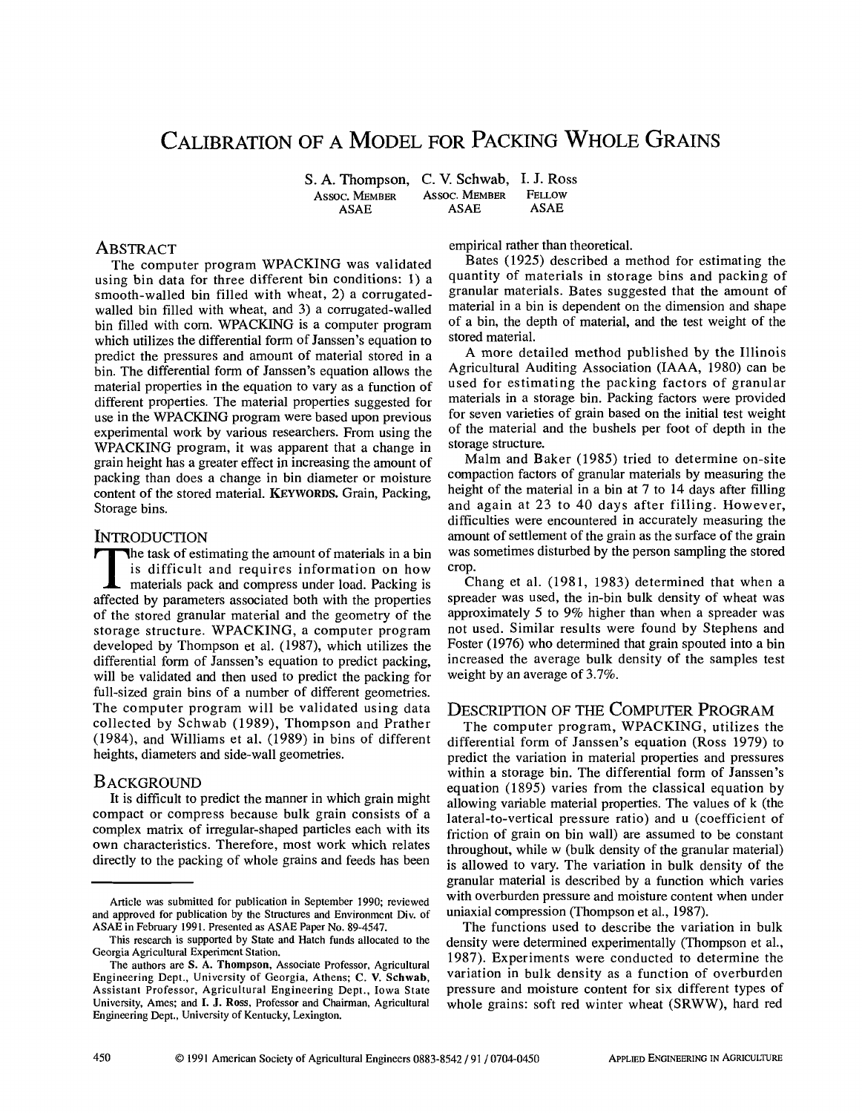# CALIBRATION OF A MODEL FOR PACKING WHOLE GRAINS

S. A. Thompson, C. V. Schwab, I. J. Ross<br>Assoc. Member Assoc. Member Fellow **Assoc. MEMBER ASSOC. MEMBER FELL**<br>ASAE ASAE **ASAE** 

# ABSTRACT

The computer program WPACKING was validated using bin data for three different bin conditions: 1) a smooth-walled bin filled with wheat, 2) a corrugatedwalled bin filled with wheat, and 3) a corrugated-walled bin filled with corn. WPACKING is a computer program which utilizes the differential form of Janssen's equation to predict the pressures and amount of material stored in a bin. The differential form of Janssen's equation allows the material properties in the equation to vary as a function of different properties. The material properties suggested for use in the WPACKING program were based upon previous experimental work by various researchers. From using the WPACKING program, it was apparent that a change in grain height has a greater effect in increasing the amount of packing than does a change in bin diameter or moisture content of the stored material. KEYWORDS, Grain, Packing, Storage bins.

## **INTRODUCTION**

THE task of estimating the amount of materials in a bin<br>is difficult and requires information on how<br>materials pack and compress under load. Packing is<br>affected by parameters associated both with the properties he task of estimating the amount of materials in a bin is difficult and requires information on how materials pack and compress under load. Packing is of the stored granular material and the geometry of the storage structure. WPACKING, a computer program developed by Thompson et al. (1987), which utilizes the differential form of Janssen's equation to predict packing, will be validated and then used to predict the packing for full-sized grain bins of a number of different geometries. The computer program will be validated using data collected by Schwab (1989), Thompson and Prather (1984), and Williams et al. (1989) in bins of different heights, diameters and side-wall geometries.

## **BACKGROUND**

It is difficult to predict the manner in which grain might compact or compress because bulk grain consists of a complex matrix of irregular-shaped particles each with its own characteristics. Therefore, most work which relates directly to the packing of whole grains and feeds has been empirical rather than theoretical.

Bates (1925) described a method for estimating the quantity of materials in storage bins and packing of granular materials. Bates suggested that the amount of material in a bin is dependent on the dimension and shape of a bin, the depth of material, and the test weight of the stored material.

A more detailed method published by the Illinois Agricultural Auditing Association (IAAA, 1980) can be used for estimating the packing factors of granular materials in a storage bin. Packing factors were provided for seven varieties of grain based on the initial test weight of the material and the bushels per foot of depth in the storage structure.

Malm and Baker (1985) tried to determine on-site compaction factors of granular materials by measuring the height of the material in a bin at 7 to 14 days after filling and again at 23 to 40 days after filling. However, difficulties were encountered in accurately measuring the amount of settlement of the grain as the surface of the grain was sometimes disturbed by the person sampling the stored crop.

Chang et al. (1981, 1983) determined that when a spreader was used, the in-bin bulk density of wheat was approximately 5 to 9% higher than when a spreader was not used. Similar results were found by Stephens and Foster (1976) who determined that grain spouted into a bin increased the average bulk density of the samples test weight by an average of 3.7%.

# DESCRIPTION OF THE COMPUTER PROGRAM

The computer program, WPACKING, utilizes the differential form of Janssen's equation (Ross 1979) to predict the variation in material properties and pressures within a storage bin. The differential form of Janssen's equation (1895) varies from the classical equation by allowing variable material properties. The values of k (the lateral-to-vertical pressure ratio) and u (coefficient of friction of grain on bin wall) are assumed to be constant throughout, while w (bulk density of the granular material) is allowed to vary. The variation in bulk density of the granular material is described by a function which varies with overburden pressure and moisture content when under uniaxial compression (Thompson et al., 1987).

The functions used to describe the variation in bulk density were determined experimentally (Thompson et al., 1987). Experiments were conducted to determine the variation in bulk density as a function of overburden pressure and moisture content for six different types of whole grains: soft red winter wheat (SRWW), hard red

Article was submitted for publication in September 1990; reviewed and approved for publication by the Structures and Environment Div. of ASAE in February 1991. Presented as ASAE Paper No. 89-4547.

This research is supported by State and Hatch funds allocated to the Georgia Agricultural Experiment Station.

The authors are **S. A. Thompson,** Associate Professor, Agricultural Engineering Dept., University of Georgia, Athens; **C. V. Schwab,**  Assistant Professor, Agricultural Engineering Dept., Iowa State University, Ames; and I. J. Ross, Professor and Chairman, Agricultural Engineering Dept., University of Kentucky, Lexington.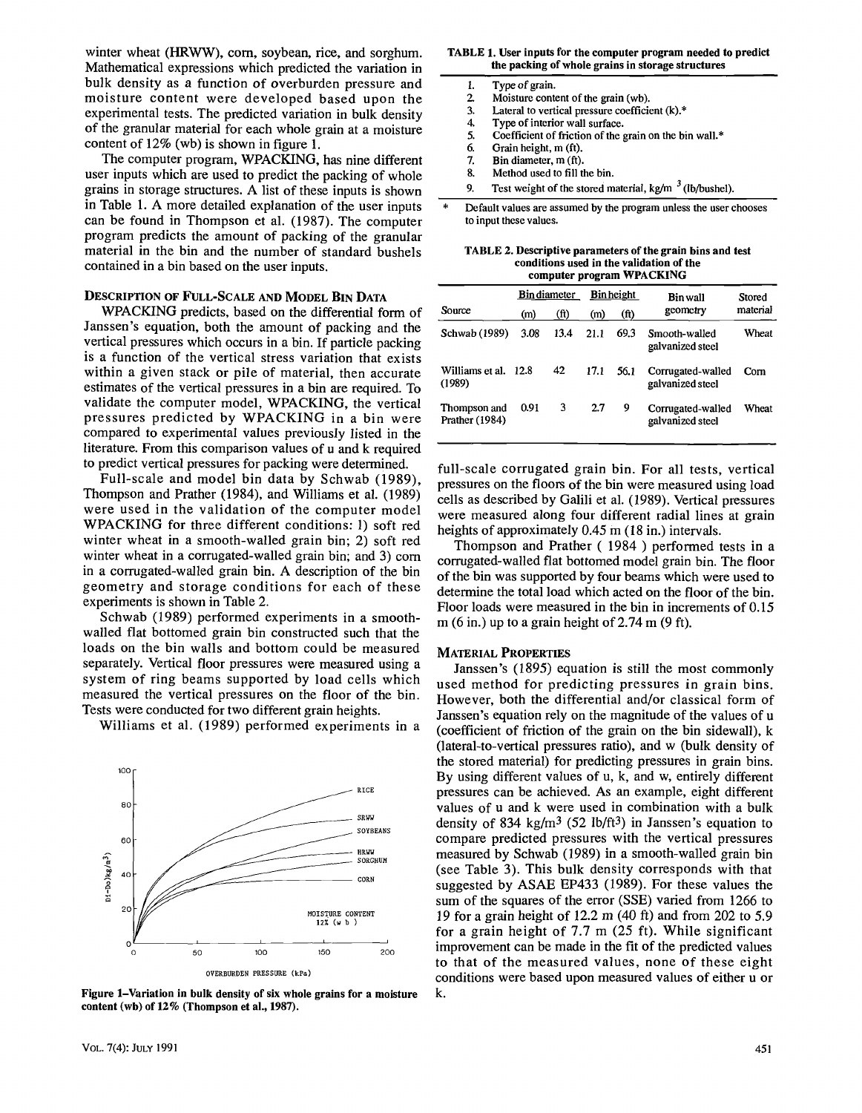winter wheat (HRWW), corn, soybean, rice, and sorghum. Mathematical expressions which predicted the variation in bulk density as a function of overburden pressure and moisture content were developed based upon the experimental tests. The predicted variation in bulk density of the granular material for each whole grain at a moisture content of 12% (wb) is shown in figure 1.

The computer program, WPACKING, has nine different user inputs which are used to predict the packing of whole grains in storage structures. A list of these inputs is shown in Table 1. A more detailed explanation of the user inputs can be found in Thompson et al. (1987). The computer program predicts the amount of packing of the granular material in the bin and the number of standard bushels contained in a bin based on the user inputs.

## DESCRIPTION OF FULL-SCALE AND MODEL BIN DATA

WPACKING predicts, based on the differential form of Janssen's equation, both the amount of packing and the vertical pressures which occurs in a bin. If particle packing is a function of the vertical stress variation that exists within a given stack or pile of material, then accurate estimates of the vertical pressures in a bin are required. To validate the computer model, WPACKING, the vertical pressures predicted by WPACKING in a bin were compared to experimental values previously listed in the literature. From this comparison values of u and k required to predict vertical pressures for packing were determined.

Full-scale and model bin data by Schwab (1989), Thompson and Prather (1984), and Williams et al. (1989) were used in the validation of the computer model WPACKING for three different conditions: 1) soft red winter wheat in a smooth-walled grain bin; 2) soft red winter wheat in a corrugated-walled grain bin; and 3) corn in a corrugated-walled grain bin. A description of the bin geometry and storage conditions for each of these experiments is shown in Table 2.

Schwab (1989) performed experiments in a smoothwalled flat bottomed grain bin constructed such that the loads on the bin walls and bottom could be measured separately. Vertical floor pressures were measured using a system of ring beams supported by load cells which measured the vertical pressures on the floor of the bin. Tests were conducted for two different grain heights.

Williams et al. (1989) performed experiments in a



**Figure 1-Variation in bulk density of six whole grains for a moisture content (wb) of 12% (Thompson et al., 1987).** 

#### **TABLE 1. User inputs for the computer program needed to predict the packing of whole grains in storage structures**

| 1. | Type of grain.                                         |
|----|--------------------------------------------------------|
| 2. | Moisture content of the grain (wb).                    |
| 3. | Lateral to vertical pressure coefficient (k).*         |
| 4. | Type of interior wall surface.                         |
| 5. | Coefficient of friction of the grain on the bin wall.* |
| б. | Grain height, m (ft).                                  |
| 7. | Bin diameter, m (ft).                                  |
| 8. | Method used to fill the bin.                           |
|    |                                                        |

9. Test weight of the stored material, kg/m  $3$  (lb/bushel).

Default values are assumed by the program unless the user chooses to input these values.

**TABLE 2. Descriptive parameters of the grain bins and test conditions used in the validation of the computer program WPACKING** 

|                                |      | <b>Bin diameter</b> |      | <b>B</b> in height | Bin wall                              | Stored   |  |
|--------------------------------|------|---------------------|------|--------------------|---------------------------------------|----------|--|
| Source                         | (m)  | (ft)                | (m)  | geometry<br>(ft)   |                                       | material |  |
| Schwab (1989)                  | 3.08 | 13.4                | 21.1 | 69.3               | Smooth-walled<br>galvanized steel     | Wheat    |  |
| Williams et al.<br>(1989)      | 12.8 | 42                  | 17.1 | 56.1               | Corrugated-walled<br>galvanized steel | Com      |  |
| Thompson and<br>Prather (1984) | 0.91 | 3                   | 2.7  | 9                  | Corrugated-walled<br>galvanized steel | Wheat    |  |

full-scale corrugated grain bin. For all tests, vertical pressures on the floors of the bin were measured using load cells as described by Galili et al. (1989). Vertical pressures were measured along four different radial lines at grain heights of approximately 0.45 m (18 in.) intervals.

Thompson and Prather ( 1984 ) performed tests in a corrugated-walled flat bottomed model grain bin. The floor of the bin was supported by four beams which were used to determine the total load which acted on the floor of the bin. Floor loads were measured in the bin in increments of 0.15 m  $(6 \text{ in.})$  up to a grain height of 2.74 m  $(9 \text{ ft})$ .

#### MATERIAL PROPERTIES

Janssen's (1895) equation is still the most commonly used method for predicting pressures in grain bins. However, both the differential and/or classical form of Janssen's equation rely on the magnitude of the values of u (coefficient of friction of the grain on the bin sidewall), k (lateral-to-vertical pressures ratio), and w (bulk density of the stored material) for predicting pressures in grain bins. By using different values of u, k, and w, entirely different pressures can be achieved. As an example, eight different values of u and k were used in combination with a bulk density of 834 kg/m<sup>3</sup> (52 lb/ft<sup>3</sup>) in Janssen's equation to compare predicted pressures with the vertical pressures measured by Schwab (1989) in a smooth-walled grain bin (see Table 3). This bulk density corresponds with that suggested by ASAE EP433 (1989). For these values the sum of the squares of the error (SSE) varied from 1266 to 19 for a grain height of 12.2 m (40 ft) and from 202 to 5.9 for a grain height of 7.7 m (25 ft). While significant improvement can be made in the fit of the predicted values to that of the measured values, none of these eight conditions were based upon measured values of either u or k.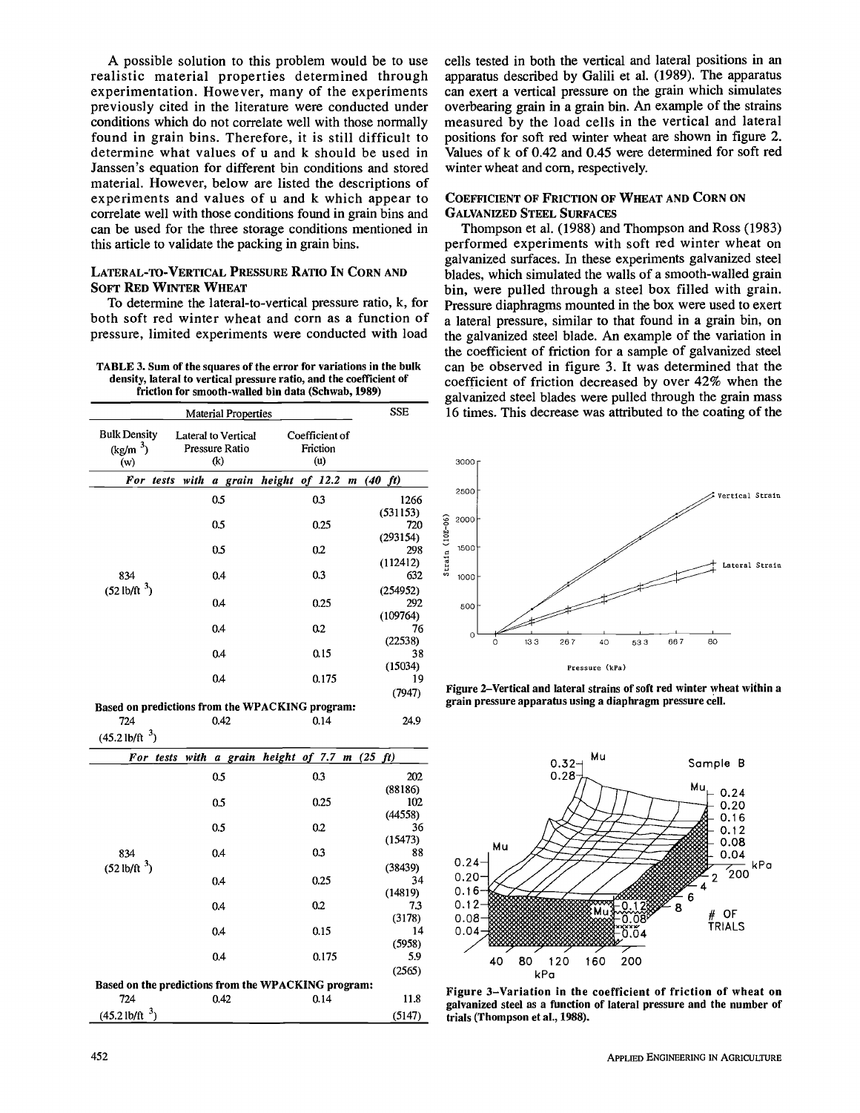A possible solution to this problem would be to use realistic material properties determined through experimentation. However, many of the experiments previously cited in the literature were conducted under conditions which do not correlate well with those normally found in grain bins. Therefore, it is still difficult to determine what values of u and k should be used in Janssen's equation for different bin conditions and stored material. However, below are listed the descriptions of experiments and values of u and k which appear to correlate well with those conditions found in grain bins and can be used for the three storage conditions mentioned in this article to validate the packing in grain bins.

## LATERAL-TO-VERTICAL PRESSURE RATIO IN CORN AND SOFT RED WINTER WHEAT

To determine the lateral-to-vertical pressure ratio, k, for both soft red winter wheat and corn as a function of pressure, limited experiments were conducted with load

**TABLE 3. Sum of the squares of the error for variations in the bulk density, lateral to vertical pressure ratio, and the coefficient of friction for smooth-walled bin data (Schwab, 1989)** 

|                                                    | <b>SSE</b>                                          |                                   |                             |
|----------------------------------------------------|-----------------------------------------------------|-----------------------------------|-----------------------------|
| <b>Bulk Density</b><br>(kg/m <sup>3</sup> )<br>(w) | <b>Lateral to Vertical</b><br>Pressure Ratio<br>(k) | Coefficient of<br>Friction<br>(u) |                             |
| For tests                                          | with                                                | a grain height of 12.2            | m(40 ft)                    |
|                                                    | 0.5                                                 | 0.3                               | 1266<br>(531153)            |
|                                                    | 0.5                                                 | 0.25                              | 720<br>(293154)             |
|                                                    | 0.5                                                 | 0.2                               | 298<br>(112412)             |
| 834<br>$(52 \text{ lb/ft}^3)$                      | 0.4                                                 | 0.3                               | 632                         |
|                                                    | 0.4                                                 | 0.25                              | (254952)<br>292<br>(109764) |
|                                                    | 0.4                                                 | 0.2                               | 76<br>(22538)               |
|                                                    | 0.4                                                 | 0.15                              | 38<br>(15034)               |
|                                                    | 0.4                                                 | 0.175                             | 19<br>(7947)                |

**Based on predictions from the WPACKING program:**  724 0.42 0.14 24.9

 $(45.2$  lb/ft $^{\circ})$ 

| For tests with         |      | a grain height of $7.7$ m $(25 \text{ ft})$         |         |
|------------------------|------|-----------------------------------------------------|---------|
|                        | 0.5  | 0.3                                                 | 202     |
|                        |      |                                                     | (88186) |
|                        | 0.5  | 0.25                                                | 102     |
|                        |      |                                                     | (44558) |
|                        | 0.5  | 0.2                                                 | 36      |
|                        |      |                                                     | (15473) |
| 834                    | 0.4  | 0.3                                                 | 88      |
| $(52 \text{ lb/ft}^3)$ |      |                                                     | (38439) |
|                        | 0.4  | 0.25                                                | 34      |
|                        |      |                                                     | (14819) |
|                        | 0.4  | 0.2                                                 | 7.3     |
|                        |      |                                                     | (3178)  |
|                        | 0.4  | 0.15                                                | 14      |
|                        |      |                                                     | (5958)  |
|                        | 0.4  | 0.175                                               | 5.9     |
|                        |      |                                                     | (2565)  |
|                        |      | Based on the predictions from the WPACKING program: |         |
| 724                    | 0.42 | 0.14                                                | 11.8    |
| ر 3<br>$(45.2$ lb/ft   |      |                                                     | (5147)  |

cells tested in both the vertical and lateral positions in an apparatus described by Galili et al. (1989). The apparatus can exert a vertical pressure on the grain which simulates overbearing grain in a grain bin. An example of the strains measured by the load cells in the vertical and lateral positions for soft red winter wheat are shown in figure 2. Values of k of 0.42 and 0.45 were determined for soft red winter wheat and corn, respectively.

#### COEFFICIENT OF FRICTION OF WHEAT AND CORN ON GALVANIZED STEEL SURFACES

Thompson et al. (1988) and Thompson and Ross (1983) performed experiments with soft red winter wheat on galvanized surfaces. In these experiments galvanized steel blades, which simulated the walls of a smooth-walled grain bin, were pulled through a steel box filled with grain. Pressure diaphragms mounted in the box were used to exert a lateral pressure, similar to that found in a grain bin, on the galvanized steel blade. An example of the variation in the coefficient of friction for a sample of galvanized steel can be observed in figure 3. It was determined that the coefficient of friction decreased by over 42% when the galvanized steel blades were pulled through the grain mass 16 times. This decrease was attributed to the coating of the



**Figure 2-Vertical and lateral strains of soft red winter wheat within a grain pressure apparatus using a diaphragm pressure cell.** 



**Figure 3-Variation in the coefficient of friction of wheat on galvanized steel as a function of lateral pressure and the number of trials (Thompson et al., 1988).**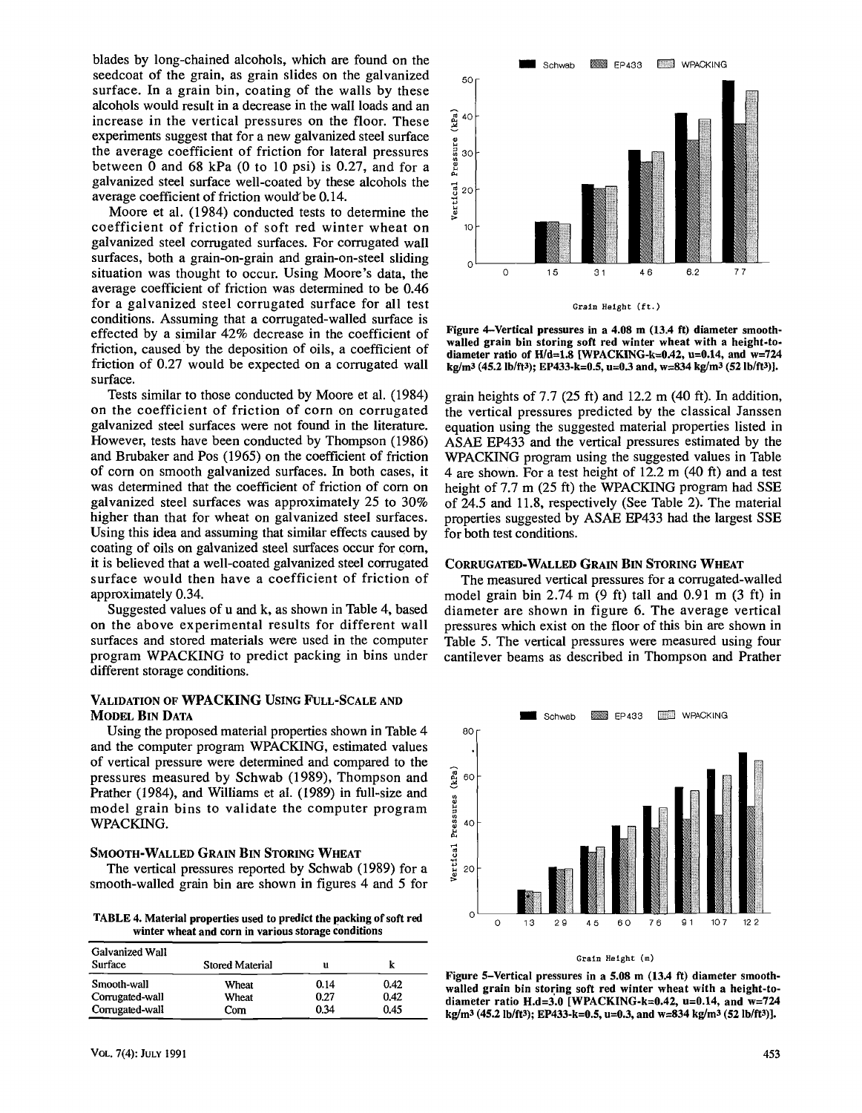blades by long-chained alcohols, which are found on the seedcoat of the grain, as grain slides on the galvanized surface. In a grain bin, coating of the walls by these alcohols would result in a decrease in the wall loads and an increase in the vertical pressures on the floor. These experiments suggest that for a new galvanized steel surface the average coefficient of friction for lateral pressures between 0 and 68 kPa (0 to 10 psi) is 0.27, and for a galvanized steel surface well-coated by these alcohols the average coefficient of friction would'be 0.14.

Moore et al. (1984) conducted tests to determine the coefficient of friction of soft red winter wheat on galvanized steel corrugated surfaces. For corrugated wall surfaces, both a grain-on-grain and grain-on-steel sliding situation was thought to occur. Using Moore's data, the average coefficient of friction was determined to be 0.46 for a galvanized steel corrugated surface for all test conditions. Assuming that a corrugated-walled surface is effected by a similar 42% decrease in the coefficient of friction, caused by the deposition of oils, a coefficient of friction of 0.27 would be expected on a corrugated wall surface.

Tests similar to those conducted by Moore et al. (1984) on the coefficient of friction of corn on corrugated galvanized steel surfaces were not found in the literature. However, tests have been conducted by Thompson (1986) and Brubaker and Pos (1965) on the coefficient of friction of corn on smooth galvanized surfaces. In both cases, it was determined that the coefficient of friction of corn on galvanized steel surfaces was approximately 25 to 30% higher than that for wheat on galvanized steel surfaces. Using this idea and assuming that similar effects caused by coating of oils on galvanized steel surfaces occur for corn, it is believed that a well-coated galvanized steel corrugated surface would then have a coefficient of friction of approximately 0.34.

Suggested values of u and k, as shown in Table 4, based on the above experimental results for different wall surfaces and stored materials were used in the computer program WPACKING to predict packing in bins under different storage conditions.

## VALIDATION OF WPACKING USING FULL-SCALE AND MODEL BIN DATA

Using the proposed material properties shown in Table 4 and the computer program WPACKING, estimated values of vertical pressure were determined and compared to the pressures measured by Schwab (1989), Thompson and Prather (1984), and Williams et al. (1989) in full-size and model grain bins to validate the computer program WPACKING.

#### SMOOTH-WALLED GRAIN BIN STORING WHEAT

The vertical pressures reported by Schwab (1989) for a smooth-walled grain bin are shown in figures 4 and 5 for

**TABLE 4. Material properties used to predict the packing of soft red winter wheat and corn in various storage conditions** 

| Galvanized Wall<br>Surface | <b>Stored Material</b> | u    |      |
|----------------------------|------------------------|------|------|
| Smooth-wall                | Wheat                  | 0.14 | 0.42 |
| Corrugated-wall            | Wheat                  | 0.27 | 0.42 |
| Corrugated-wall            | Com                    | 0.34 | 0.45 |



**Figure 4-Vertical pressures in a 4.08 m (13.4 ft) diameter smoothwalled grain bin storing soft red winter wheat with a height-todiameter ratio of H/d=1.8 [WPACKING-k=0.42, u=0.14, and w=724 kg/m3 (45.2 lb/ft3); EP433-k=0.5, u=0.3 and, w=834 kg/m3 (52 lb/ft3)].** 

grain heights of  $7.7$  (25 ft) and  $12.2$  m (40 ft). In addition, the vertical pressures predicted by the classical Janssen equation using the suggested material properties listed in ASAE EP433 and the vertical pressures estimated by the WPACKING program using the suggested values in Table 4 are shown. For a test height of 12.2 m (40 ft) and a test height of 7.7 m (25 ft) the WPACKING program had SSE of 24.5 and 11.8, respectively (See Table 2). The material properties suggested by ASAE EP433 had the largest SSE for both test conditions.

#### CORRUGATED-WALLED GRAIN BIN STORING WHEAT

The measured vertical pressures for a corrugated-walled model grain bin  $2.74 \text{ m}$  (9 ft) tall and 0.91 m (3 ft) in diameter are shown in figure 6. The average vertical pressures which exist on the floor of this bin are shown in Table 5. The vertical pressures were measured using four cantilever beams as described in Thompson and Prather



#### Grain Height (m)

**Figure 5-Vertical pressures in a 5.08 m (13.4 ft) diameter smoothwalled grain bin storing soft red winter wheat with a height-todiameter ratio H.d=3.0 [WPACKING-k=0.42, u=0.14, and w=724 kg/m3 (45.2 lb/ft3); EP433-k=0.5, u=0.3, and w=834 kg/m3 (52 lb/ft3)].**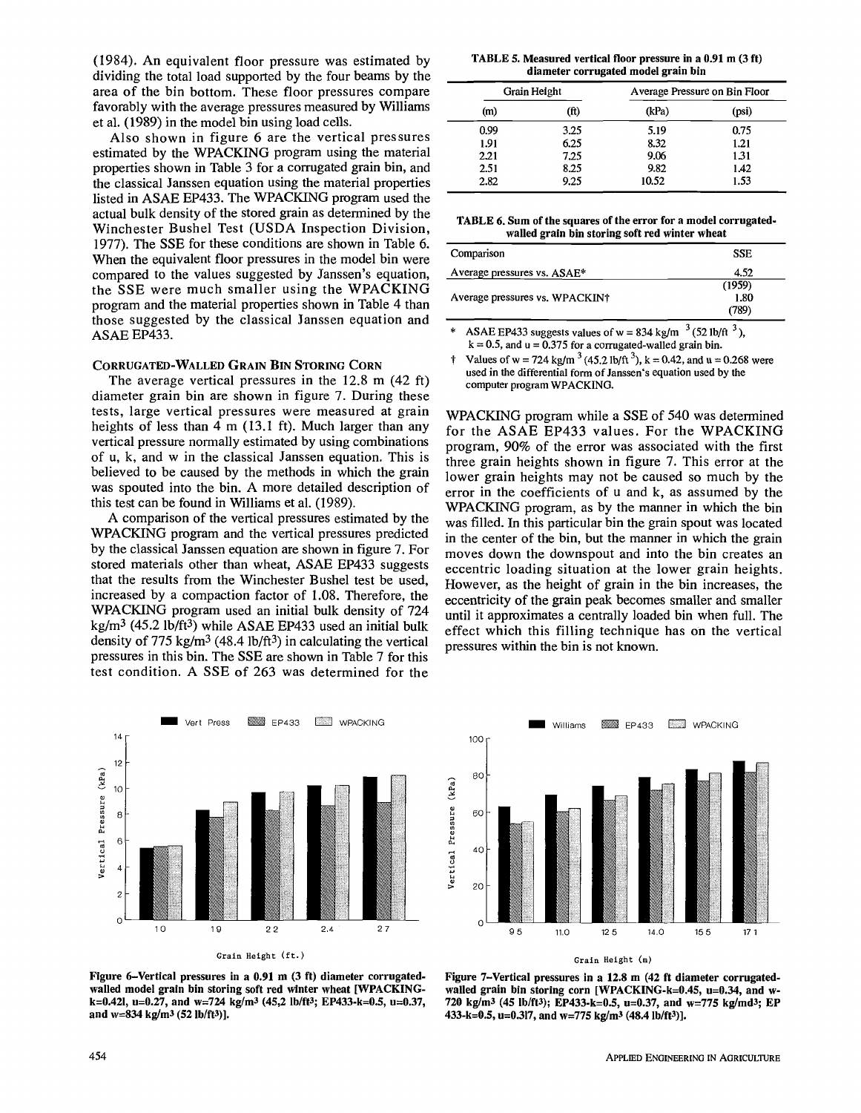(1984). An equivalent floor pressure was estimated by dividing the total load supported by the four beams by the area of the bin bottom. These floor pressures compare favorably with the average pressures measured by Williams et al. (1989) in the model bin using load cells.

Also shown in figure 6 are the vertical pressures estimated by the WPACKING program using the material properties shown in Table 3 for a corrugated grain bin, and the classical Janssen equation using the material properties listed in ASAE EP433. The WPACKING program used the actual bulk density of the stored grain as determined by the Winchester Bushel Test (USDA Inspection Division, 1977). The SSE for these conditions are shown in Table 6. When the equivalent floor pressures in the model bin were compared to the values suggested by Janssen's equation, the SSE were much smaller using the WPACKING program and the material properties shown in Table 4 than those suggested by the classical Janssen equation and ASAE EP433.

## CORRUGATED-WALLED GRAIN BIN STORING CORN

The average vertical pressures in the 12.8 m (42 ft) diameter grain bin are shown in figure 7. During these tests, large vertical pressures were measured at grain heights of less than 4 m (13.1 ft). Much larger than any vertical pressure normally estimated by using combinations of u, k, and w in the classical Janssen equation. This is believed to be caused by the methods in which the grain was spouted into the bin. A more detailed description of this test can be found in Williams et al. (1989).

A comparison of the vertical pressures estimated by the WPACKING program and the vertical pressures predicted by the classical Janssen equation are shown in figure 7. For stored materials other than wheat, ASAE EP433 suggests that the results from the Winchester Bushel test be used, increased by a compaction factor of 1.08. Therefore, the WPACKING program used an initial bulk density of 724 kg/m<sup>3</sup> (45.2 lb/ft<sup>3</sup>) while ASAE EP433 used an initial bulk density of 775 kg/m<sup>3</sup> (48.4 lb/ft<sup>3</sup>) in calculating the vertical pressures in this bin. The SSE are shown in Table 7 for this test condition. A SSE of 263 was determined for the



**Grain Height (ft.)** 

**Figure 6-Vertical pressures in a 0.91 m (3 ft) diameter corrugatedwalled model grain bin storing soft red winter wheat [WPACKINGk=0.421, u=0.27, and w=724 kg/m3 (45,2 lb/ft3; EP433-k=0.5, u=0.37, and w=834 kg/m3 (52 Ib/ft3)].** 

**TABLE 5. Measured vertical floor pressure in a 0.91 m (3 ft) diameter corrugated model grain bin** 

|      | Grain Height | Average Pressure on Bin Floor |       |
|------|--------------|-------------------------------|-------|
| (m)  | (ft)         | (kPa)                         | (psi) |
| 0.99 | 3.25         | 5.19                          | 0.75  |
| 1.91 | 6.25         | 8.32                          | 1.21  |
| 2.21 | 7.25         | 9.06                          | 1.31  |
| 2.51 | 8.25         | 9.82                          | 1.42  |
| 2.82 | 9.25         | 10.52                         | 1.53  |

**TABLE 6. Sum of the squares of the error for a model corrugatedwalled grain bin storing soft red winter wheat** 

| Comparison                                 | <b>SSE</b> |
|--------------------------------------------|------------|
| Average pressures vs. ASAE*                | 4.52       |
|                                            | (1959)     |
| Average pressures vs. WPACKIN <sup>†</sup> | 1.80       |
|                                            | (789)      |
|                                            |            |

\* ASAE EP433 suggests values of w = 834 kg/m  $3(52 \text{ lb/ft}^3)$ ,  $k = 0.5$ , and  $u = 0.375$  for a corrugated-walled grain bin.

† Values of w = 724 kg/m<sup>3</sup> (45.2 lb/ft<sup>3</sup>), k = 0.42, and u = 0.268 were used in the differential form of Janssen's equation used by the computer program WPACKING.

WPACKING program while a SSE of 540 was determined for the ASAE EP433 values. For the WPACKING program, 90% of the error was associated with the first three grain heights shown in figure 7. This error at the lower grain heights may not be caused so much by the error in the coefficients of u and k, as assumed by the WPACKING program, as by the manner in which the bin was filled. In this particular bin the grain spout was located in the center of the bin, but the manner in which the grain moves down the downspout and into the bin creates an eccentric loading situation at the lower grain heights. However, as the height of grain in the bin increases, the eccentricity of the grain peak becomes smaller and smaller until it approximates a centrally loaded bin when full. The effect which this filling technique has on the vertical pressures within the bin is not known.



**Figure 7-Vertical pressures in a 12.8 m (42 ft diameter corrugatedwalled grain bin storing corn [WPACKING-k=0.45, u=0.34, and w-720 kg/m3 (45 lb/ft3); EP433-k=0.5, u=0.37, and w=775 kg/md3; EP 433-k=0.5, u=0.317, and w=775 kg/m3 (48.4 Ib/ft3)].**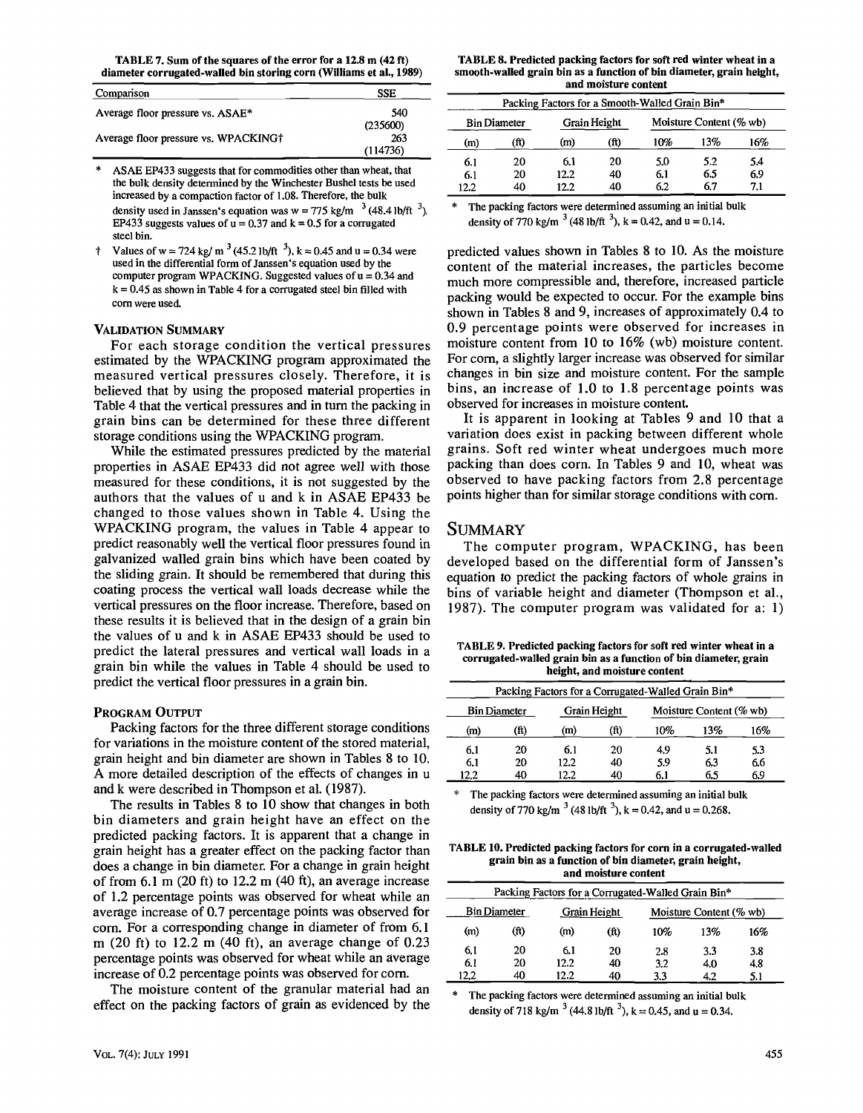**TABLE 7. Sum of the squares of the error for a 12.8 m (42 ft) diameter corrugated-walled bin storing corn (Williams et a!., 1989)** 

| Comparison                           | SSE      |
|--------------------------------------|----------|
| Average floor pressure vs. ASAE*     | 540      |
|                                      | (235600) |
| Average floor pressure vs. WPACKING† | 263      |
|                                      | (114736) |

ASAE EP433 suggests that for commodities other than wheat, that the bulk density determined by the Winchester Bushel tests be used increased by a compaction factor of 1.08. Therefore, the bulk density used in Janssen's equation was  $w = 775$  kg/m  $^{-3}$  (48.4 lb/ft  $^{-3}$ ). EP433 suggests values of  $u = 0.37$  and  $k = 0.5$  for a corrugated steel bin.

<sup>†</sup> Values of w = 724 kg/ m<sup>3</sup> (45.2 lb/ft<sup>3</sup>), k = 0.45 and u = 0.34 were used in the differential form of Janssen's equation used by the computer program WPACKING. Suggested values of  $u = 0.34$  and  $k = 0.45$  as shown in Table 4 for a corrugated steel bin filled with corn were used.

#### VALIDATION SUMMARY

For each storage condition the vertical pressures estimated by the WPACKING program approximated the measured vertical pressures closely. Therefore, it is believed that by using the proposed material properties in Table 4 that the vertical pressures and in turn the packing in grain bins can be determined for these three different storage conditions using the WPACKING program.

While the estimated pressures predicted by the material properties in ASAE EP433 did not agree well with those measured for these conditions, it is not suggested by the authors that the values of u and k in ASAE EP433 be changed to those values shown in Table 4. Using the WPACKING program, the values in Table 4 appear to predict reasonably well the vertical floor pressures found in galvanized walled grain bins which have been coated by the sliding grain. It should be remembered that during this coating process the vertical wall loads decrease while the vertical pressures on the floor increase. Therefore, based on these results it is believed that in the design of a grain bin the values of u and k in ASAE EP433 should be used to predict the lateral pressures and vertical wall loads in a grain bin while the values in Table 4 should be used to predict the vertical floor pressures in a grain bin.

## PROGRAM OUTPUT

Packing factors for the three different storage conditions for variations in the moisture content of the stored material, grain height and bin diameter are shown in Tables 8 to 10. A more detailed description of the effects of changes in u and k were described in Thompson et al. (1987).

The results in Tables 8 to 10 show that changes in both bin diameters and grain height have an effect on the predicted packing factors. It is apparent that a change in grain height has a greater effect on the packing factor than does a change in bin diameter. For a change in grain height of from  $6.1$  m  $(20 \text{ ft})$  to  $12.2$  m  $(40 \text{ ft})$ , an average increase of 1.2 percentage points was observed for wheat while an average increase of 0.7 percentage points was observed for corn. For a corresponding change in diameter of from 6.1 m (20 ft) to 12.2 m (40 ft), an average change of 0.23 percentage points was observed for wheat while an average increase of 0.2 percentage points was observed for corn.

The moisture content of the granular material had an effect on the packing factors of grain as evidenced by the

**TABLE 8. Predicted packing factors for soft red winter wheat in a smooth-walled grain bin as a function of bin diameter, grain height, and moisture content** 

| Packing Factors for a Smooth-Walled Grain Bin*                 |      |      |      |     |     |     |  |
|----------------------------------------------------------------|------|------|------|-----|-----|-----|--|
| Moisture Content (% wb)<br>Grain Height<br><b>Bin Diameter</b> |      |      |      |     |     |     |  |
| (m)                                                            | (ft) | (m)  | (ft) | 10% | 13% | 16% |  |
| 6.1                                                            | 20   | 6.1  | 20   | 5.0 | 5.2 | 5.4 |  |
| 6.1                                                            | 20   | 12.2 | 40   | 6.1 | 6.5 | 6.9 |  |
| 12.2                                                           | 40   | 12.2 | 40   | 6.2 | 67  | 7.1 |  |

The packing factors were determined assuming an initial bulk density of 770 kg/m<sup>3</sup> (48 lb/ft<sup>3</sup>), k = 0.42, and u = 0.14.

predicted values shown in Tables 8 to 10. As the moisture content of the material increases, the particles become much more compressible and, therefore, increased particle packing would be expected to occur. For the example bins shown in Tables 8 and 9, increases of approximately 0.4 to 0.9 percentage points were observed for increases in moisture content from 10 to 16% (wb) moisture content. For corn, a slightly larger increase was observed for similar changes in bin size and moisture content. For the sample bins, an increase of 1.0 to 1.8 percentage points was observed for increases in moisture content.

It is apparent in looking at Tables 9 and 10 that a variation does exist in packing between different whole grains. Soft red winter wheat undergoes much more packing than does corn. In Tables 9 and 10, wheat was observed to have packing factors from 2.8 percentage points higher than for similar storage conditions with corn.

# **SUMMARY**

The computer program, WPACKING, has been developed based on the differential form of Janssen's equation to predict the packing factors of whole grains in bins of variable height and diameter (Thompson et al., 1987). The computer program was validated for a: 1)

**TABLE 9. Predicted packing factors for soft red winter wheat in a corrugated-walled grain bin as a function of bin diameter, grain height, and moisture content** 

| Packing Factors for a Corrugated-Walled Grain Bin*             |      |      |                   |     |     |     |  |
|----------------------------------------------------------------|------|------|-------------------|-----|-----|-----|--|
| Grain Height<br>Moisture Content (% wb)<br><b>Bin Diameter</b> |      |      |                   |     |     |     |  |
| (m)                                                            | (ft) | (m)  | (f <sub>t</sub> ) | 10% | 13% | 16% |  |
| 6.1                                                            | 20   | 6.1  | 20                | 4.9 | 5.1 | 53  |  |
| 6.1                                                            | 20   | 12.2 | 40                | 5.9 | 6.3 | 66  |  |
| 12.2                                                           | 40   | 12.2 | 40                | 6.1 | 6.5 | 6.9 |  |

The packing factors were determined assuming an initial bulk density of 770 kg/m  $3^{3}$  (48 lb/ft  $3^{3}$ ), k = 0.42, and u = 0.268.

**TABLE 10. Predicted packing factors for corn in a corrugated-walled grain bin as a function of bin diameter, grain height, and moisture content** 

| Packing Factors for a Corrugated-Walled Grain Bin*             |      |      |      |     |     |     |  |
|----------------------------------------------------------------|------|------|------|-----|-----|-----|--|
| <b>Bin Diameter</b><br>Grain Height<br>Moisture Content (% wb) |      |      |      |     |     |     |  |
| (m)                                                            | (ft) | (m)  | (ft) | 10% | 13% | 16% |  |
| 6.1                                                            | 20   | 6.1  | 20   | 2.8 | 33  | 3.8 |  |
| 6.1                                                            | 20   | 12.2 | 40   | 3.2 | 4.0 | 4.8 |  |
| 12.2                                                           | 40   | 12.2 | 40   | 3.3 | 4.2 | 5.1 |  |

The packing factors were determined assuming an initial bulk density of 718 kg/m<sup>3</sup> (44.8 lb/ft<sup>3</sup>), k = 0.45, and u = 0.34.